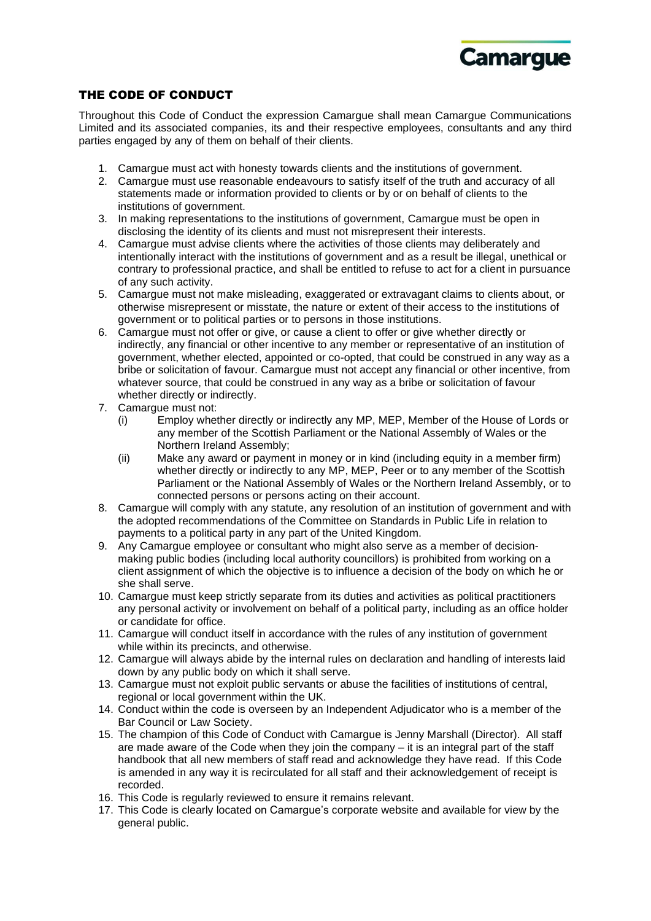

## THE CODE OF CONDUCT

Throughout this Code of Conduct the expression Camargue shall mean Camargue Communications Limited and its associated companies, its and their respective employees, consultants and any third parties engaged by any of them on behalf of their clients.

- 1. Camargue must act with honesty towards clients and the institutions of government.
- 2. Camargue must use reasonable endeavours to satisfy itself of the truth and accuracy of all statements made or information provided to clients or by or on behalf of clients to the institutions of government.
- 3. In making representations to the institutions of government, Camargue must be open in disclosing the identity of its clients and must not misrepresent their interests.
- 4. Camargue must advise clients where the activities of those clients may deliberately and intentionally interact with the institutions of government and as a result be illegal, unethical or contrary to professional practice, and shall be entitled to refuse to act for a client in pursuance of any such activity.
- 5. Camargue must not make misleading, exaggerated or extravagant claims to clients about, or otherwise misrepresent or misstate, the nature or extent of their access to the institutions of government or to political parties or to persons in those institutions.
- 6. Camargue must not offer or give, or cause a client to offer or give whether directly or indirectly, any financial or other incentive to any member or representative of an institution of government, whether elected, appointed or co-opted, that could be construed in any way as a bribe or solicitation of favour. Camargue must not accept any financial or other incentive, from whatever source, that could be construed in any way as a bribe or solicitation of favour whether directly or indirectly.
- 7. Camargue must not:
	- (i) Employ whether directly or indirectly any MP, MEP, Member of the House of Lords or any member of the Scottish Parliament or the National Assembly of Wales or the Northern Ireland Assembly;
	- (ii) Make any award or payment in money or in kind (including equity in a member firm) whether directly or indirectly to any MP, MEP, Peer or to any member of the Scottish Parliament or the National Assembly of Wales or the Northern Ireland Assembly, or to connected persons or persons acting on their account.
- 8. Camargue will comply with any statute, any resolution of an institution of government and with the adopted recommendations of the Committee on Standards in Public Life in relation to payments to a political party in any part of the United Kingdom.
- 9. Any Camargue employee or consultant who might also serve as a member of decisionmaking public bodies (including local authority councillors) is prohibited from working on a client assignment of which the objective is to influence a decision of the body on which he or she shall serve.
- 10. Camargue must keep strictly separate from its duties and activities as political practitioners any personal activity or involvement on behalf of a political party, including as an office holder or candidate for office.
- 11. Camargue will conduct itself in accordance with the rules of any institution of government while within its precincts, and otherwise.
- 12. Camargue will always abide by the internal rules on declaration and handling of interests laid down by any public body on which it shall serve.
- 13. Camargue must not exploit public servants or abuse the facilities of institutions of central, regional or local government within the UK.
- 14. Conduct within the code is overseen by an Independent Adjudicator who is a member of the Bar Council or Law Society.
- 15. The champion of this Code of Conduct with Camargue is Jenny Marshall (Director). All staff are made aware of the Code when they join the company – it is an integral part of the staff handbook that all new members of staff read and acknowledge they have read. If this Code is amended in any way it is recirculated for all staff and their acknowledgement of receipt is recorded.
- 16. This Code is regularly reviewed to ensure it remains relevant.
- 17. This Code is clearly located on Camargue's corporate website and available for view by the general public.